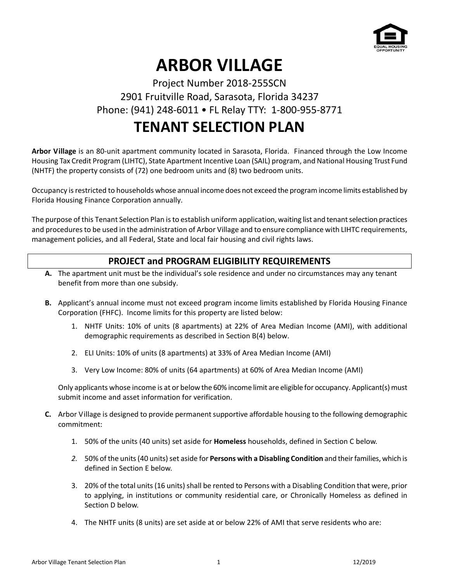

# **ARBOR VILLAGE**

### Project Number 2018-255SCN 2901 Fruitville Road, Sarasota, Florida 34237 Phone: (941) 248-6011 • FL Relay TTY: 1-800-955-8771

## **TENANT SELECTION PLAN**

**Arbor Village** is an 80-unit apartment community located in Sarasota, Florida. Financed through the Low Income Housing Tax Credit Program (LIHTC), State Apartment Incentive Loan (SAIL) program, and National Housing Trust Fund (NHTF) the property consists of (72) one bedroom units and (8) two bedroom units.

Occupancy is restricted to households whose annual income does not exceed the program income limits established by Florida Housing Finance Corporation annually.

The purpose of this Tenant Selection Plan is to establish uniform application, waiting list and tenant selection practices and procedures to be used in the administration of Arbor Village and to ensure compliance with LIHTC requirements, management policies, and all Federal, State and local fair housing and civil rights laws.

#### **PROJECT and PROGRAM ELIGIBILITY REQUIREMENTS**

- **A.** The apartment unit must be the individual's sole residence and under no circumstances may any tenant benefit from more than one subsidy.
- **B.** Applicant's annual income must not exceed program income limits established by Florida Housing Finance Corporation (FHFC). Income limits for this property are listed below:
	- 1. NHTF Units: 10% of units (8 apartments) at 22% of Area Median Income (AMI), with additional demographic requirements as described in Section B(4) below.
	- 2. ELI Units: 10% of units (8 apartments) at 33% of Area Median Income (AMI)
	- 3. Very Low Income: 80% of units (64 apartments) at 60% of Area Median Income (AMI)

Only applicants whose income is at or below the 60% income limit are eligible for occupancy. Applicant(s) must submit income and asset information for verification.

- **C.** Arbor Village is designed to provide permanent supportive affordable housing to the following demographic commitment:
	- 1. 50% of the units (40 units) set aside for **Homeless** households, defined in Section C below.
	- *2.* 50% of the units (40 units) set aside for **Persons with a Disabling Condition** and their families, which is defined in Section E below.
	- 3. 20% of the total units(16 units) shall be rented to Persons with a Disabling Condition that were, prior to applying, in institutions or community residential care, or Chronically Homeless as defined in Section D below.
	- 4. The NHTF units (8 units) are set aside at or below 22% of AMI that serve residents who are: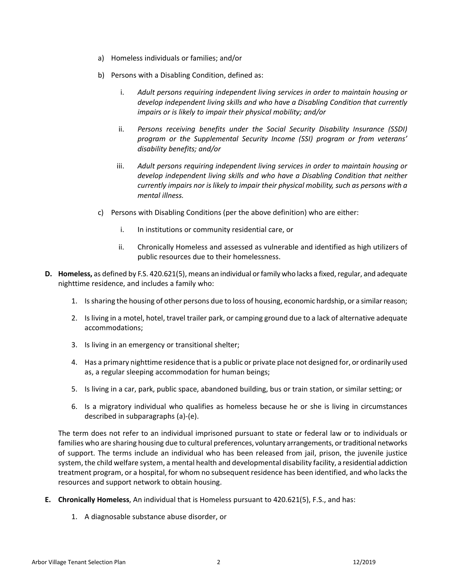- a) Homeless individuals or families; and/or
- b) Persons with a Disabling Condition, defined as:
	- i. *Adult persons requiring independent living services in order to maintain housing or develop independent living skills and who have a Disabling Condition that currently impairs or is likely to impair their physical mobility; and/or*
	- ii. *Persons receiving benefits under the Social Security Disability Insurance (SSDI) program or the Supplemental Security Income (SSI) program or from veterans' disability benefits; and/or*
	- iii. *Adult persons requiring independent living services in order to maintain housing or develop independent living skills and who have a Disabling Condition that neither currently impairs nor is likely to impair their physical mobility, such as persons with a mental illness.*
- c) Persons with Disabling Conditions (per the above definition) who are either:
	- i. In institutions or community residential care, or
	- ii. Chronically Homeless and assessed as vulnerable and identified as high utilizers of public resources due to their homelessness.
- **D. Homeless,** as defined by F.S. 420.621(5), means an individual or family who lacks a fixed, regular, and adequate nighttime residence, and includes a family who:
	- 1. Is sharing the housing of other persons due to loss of housing, economic hardship, or a similar reason;
	- 2. Is living in a motel, hotel, travel trailer park, or camping ground due to a lack of alternative adequate accommodations;
	- 3. Is living in an emergency or transitional shelter;
	- 4. Has a primary nighttime residence that is a public or private place not designed for, or ordinarily used as, a regular sleeping accommodation for human beings;
	- 5. Is living in a car, park, public space, abandoned building, bus or train station, or similar setting; or
	- 6. Is a migratory individual who qualifies as homeless because he or she is living in circumstances described in subparagraphs (a)-(e).

The term does not refer to an individual imprisoned pursuant to state or federal law or to individuals or families who are sharing housing due to cultural preferences, voluntary arrangements, or traditional networks of support. The terms include an individual who has been released from jail, prison, the juvenile justice system, the child welfare system, a mental health and developmental disability facility, a residential addiction treatment program, or a hospital, for whom no subsequent residence has been identified, and who lacks the resources and support network to obtain housing.

- **E. Chronically Homeless**, An individual that is Homeless pursuant to 420.621(5), F.S., and has:
	- 1. A diagnosable substance abuse disorder, or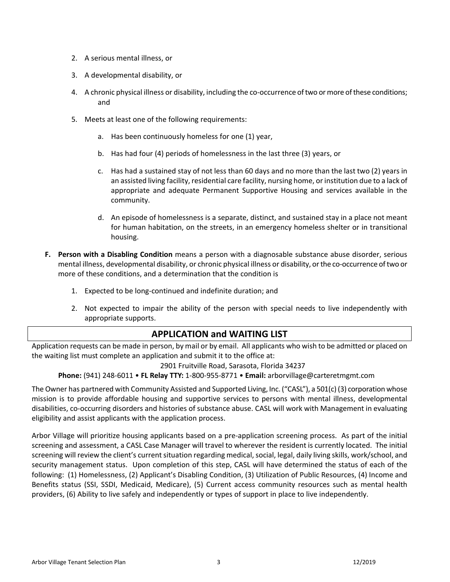- 2. A serious mental illness, or
- 3. A developmental disability, or
- 4. A chronic physical illness or disability, including the co-occurrence of two or more of these conditions; and
- 5. Meets at least one of the following requirements:
	- a. Has been continuously homeless for one (1) year,
	- b. Has had four (4) periods of homelessness in the last three (3) years, or
	- c. Has had a sustained stay of not less than 60 days and no more than the last two (2) years in an assisted living facility, residential care facility, nursing home, or institution due to a lack of appropriate and adequate Permanent Supportive Housing and services available in the community.
	- d. An episode of homelessness is a separate, distinct, and sustained stay in a place not meant for human habitation, on the streets, in an emergency homeless shelter or in transitional housing.
- **F. Person with a Disabling Condition** means a person with a diagnosable substance abuse disorder, serious mental illness, developmental disability, or chronic physical illness or disability, or the co-occurrence of two or more of these conditions, and a determination that the condition is
	- 1. Expected to be long-continued and indefinite duration; and
	- 2. Not expected to impair the ability of the person with special needs to live independently with appropriate supports.

#### **APPLICATION and WAITING LIST**

Application requests can be made in person, by mail or by email. All applicants who wish to be admitted or placed on the waiting list must complete an application and submit it to the office at:

2901 Fruitville Road, Sarasota, Florida 34237

**Phone:** (941) 248-6011 • **FL Relay TTY:** 1-800-955-8771 • **Email:** arborvillage@carteretmgmt.com

The Owner has partnered with Community Assisted and Supported Living, Inc. ("CASL"), a 501(c) (3) corporation whose mission is to provide affordable housing and supportive services to persons with mental illness, developmental disabilities, co-occurring disorders and histories of substance abuse. CASL will work with Management in evaluating eligibility and assist applicants with the application process.

Arbor Village will prioritize housing applicants based on a pre-application screening process. As part of the initial screening and assessment, a CASL Case Manager will travel to wherever the resident is currently located. The initial screening will review the client's current situation regarding medical, social, legal, daily living skills, work/school, and security management status. Upon completion of this step, CASL will have determined the status of each of the following: (1) Homelessness, (2) Applicant's Disabling Condition, (3) Utilization of Public Resources, (4) Income and Benefits status (SSI, SSDI, Medicaid, Medicare), (5) Current access community resources such as mental health providers, (6) Ability to live safely and independently or types of support in place to live independently.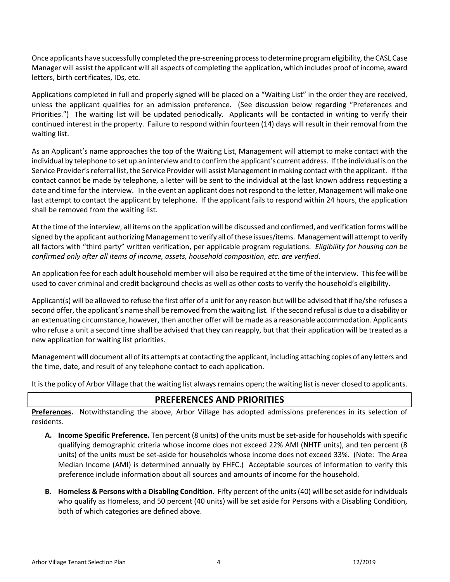Once applicants have successfully completed the pre-screening processto determine program eligibility, the CASL Case Manager will assist the applicant will all aspects of completing the application, which includes proof of income, award letters, birth certificates, IDs, etc.

Applications completed in full and properly signed will be placed on a "Waiting List" in the order they are received, unless the applicant qualifies for an admission preference. (See discussion below regarding "Preferences and Priorities.") The waiting list will be updated periodically. Applicants will be contacted in writing to verify their continued interest in the property. Failure to respond within fourteen (14) days will result in their removal from the waiting list.

As an Applicant's name approaches the top of the Waiting List, Management will attempt to make contact with the individual by telephone to set up an interview and to confirm the applicant's current address. If the individual is on the Service Provider's referral list, the Service Provider will assist Management in making contact with the applicant. If the contact cannot be made by telephone, a letter will be sent to the individual at the last known address requesting a date and time for the interview. In the event an applicant does not respond to the letter, Management will make one last attempt to contact the applicant by telephone. If the applicant fails to respond within 24 hours, the application shall be removed from the waiting list.

At the time of the interview, all items on the application will be discussed and confirmed, and verification forms will be signed by the applicant authorizing Management to verify all of these issues/items. Management will attempt to verify all factors with "third party" written verification, per applicable program regulations. *Eligibility for housing can be confirmed only after all items of income, assets, household composition, etc. are verified*.

An application fee for each adult household member will also be required at the time of the interview. This fee will be used to cover criminal and credit background checks as well as other costs to verify the household's eligibility.

Applicant(s) will be allowed to refuse the first offer of a unit for any reason but will be advised that if he/she refuses a second offer, the applicant's name shall be removed from the waiting list. If the second refusal is due to a disability or an extenuating circumstance, however, then another offer will be made as a reasonable accommodation. Applicants who refuse a unit a second time shall be advised that they can reapply, but that their application will be treated as a new application for waiting list priorities.

Management will document all of its attempts at contacting the applicant, including attaching copies of any letters and the time, date, and result of any telephone contact to each application.

It is the policy of Arbor Village that the waiting list always remains open; the waiting list is never closed to applicants.

#### **PREFERENCES AND PRIORITIES**

**Preferences.** Notwithstanding the above, Arbor Village has adopted admissions preferences in its selection of residents.

- **A. Income Specific Preference.** Ten percent (8 units) of the units must be set-aside for households with specific qualifying demographic criteria whose income does not exceed 22% AMI (NHTF units), and ten percent (8 units) of the units must be set-aside for households whose income does not exceed 33%. (Note: The Area Median Income (AMI) is determined annually by FHFC.) Acceptable sources of information to verify this preference include information about all sources and amounts of income for the household.
- **B. Homeless & Persons with a Disabling Condition.** Fifty percent of the units (40) will be set aside for individuals who qualify as Homeless, and 50 percent (40 units) will be set aside for Persons with a Disabling Condition, both of which categories are defined above.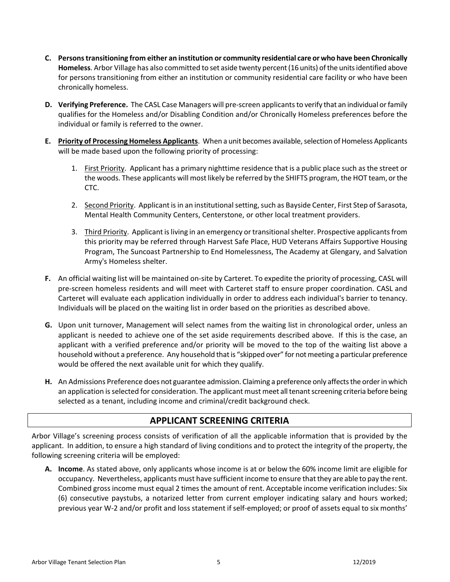- **C. Persons transitioning from either an institution or community residential care or who have been Chronically Homeless**. Arbor Village has also committed to set aside twenty percent (16 units) of the units identified above for persons transitioning from either an institution or community residential care facility or who have been chronically homeless.
- **D.** Verifying Preference. The CASL Case Managers will pre-screen applicants to verify that an individual or family qualifies for the Homeless and/or Disabling Condition and/or Chronically Homeless preferences before the individual or family is referred to the owner.
- **E. Priority of Processing Homeless Applicants**. When a unit becomes available, selection of Homeless Applicants will be made based upon the following priority of processing:
	- 1. First Priority. Applicant has a primary nighttime residence that is a public place such as the street or the woods. These applicants will most likely be referred by the SHIFTS program, the HOT team, or the CTC.
	- 2. Second Priority. Applicant is in an institutional setting, such as Bayside Center, First Step of Sarasota, Mental Health Community Centers, Centerstone, or other local treatment providers.
	- 3. Third Priority. Applicant is living in an emergency or transitional shelter. Prospective applicantsfrom this priority may be referred through Harvest Safe Place, HUD Veterans Affairs Supportive Housing Program, The Suncoast Partnership to End Homelessness, The Academy at Glengary, and Salvation Army's Homeless shelter.
- **F.** An official waiting list will be maintained on-site by Carteret. To expedite the priority of processing, CASL will pre-screen homeless residents and will meet with Carteret staff to ensure proper coordination. CASL and Carteret will evaluate each application individually in order to address each individual's barrier to tenancy. Individuals will be placed on the waiting list in order based on the priorities as described above.
- **G.** Upon unit turnover, Management will select names from the waiting list in chronological order, unless an applicant is needed to achieve one of the set aside requirements described above. If this is the case, an applicant with a verified preference and/or priority will be moved to the top of the waiting list above a household without a preference. Any household that is "skipped over" for not meeting a particular preference would be offered the next available unit for which they qualify.
- **H.** An Admissions Preference does not guarantee admission. Claiming a preference only affects the order in which an application is selected for consideration. The applicant must meet all tenant screening criteria before being selected as a tenant, including income and criminal/credit background check.

#### **APPLICANT SCREENING CRITERIA**

Arbor Village's screening process consists of verification of all the applicable information that is provided by the applicant. In addition, to ensure a high standard of living conditions and to protect the integrity of the property, the following screening criteria will be employed:

**A. Income**. As stated above, only applicants whose income is at or below the 60% income limit are eligible for occupancy. Nevertheless, applicants must have sufficient income to ensure that they are able to pay the rent. Combined gross income must equal 2 times the amount of rent. Acceptable income verification includes: Six (6) consecutive paystubs, a notarized letter from current employer indicating salary and hours worked; previous year W-2 and/or profit and loss statement if self-employed; or proof of assets equal to six months'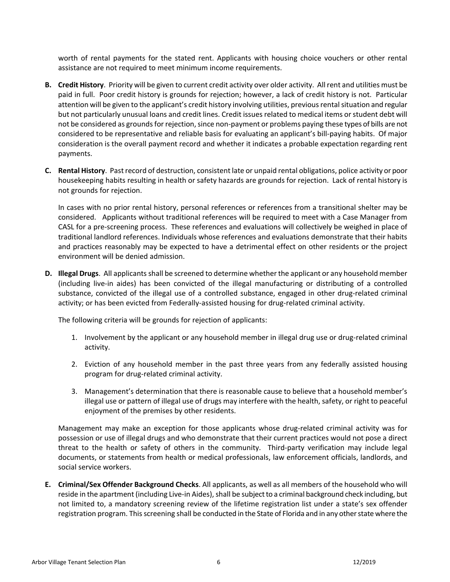worth of rental payments for the stated rent. Applicants with housing choice vouchers or other rental assistance are not required to meet minimum income requirements.

- **B. Credit History**. Priority will be given to current credit activity over older activity. All rent and utilities must be paid in full. Poor credit history is grounds for rejection; however, a lack of credit history is not. Particular attention will be given to the applicant's credit history involving utilities, previous rental situation and regular but not particularly unusual loans and credit lines. Credit issues related to medical items or student debt will not be considered as grounds for rejection, since non-payment or problems paying these types of bills are not considered to be representative and reliable basis for evaluating an applicant's bill-paying habits. Of major consideration is the overall payment record and whether it indicates a probable expectation regarding rent payments.
- **C. Rental History**. Past record of destruction, consistent late or unpaid rental obligations, police activity or poor housekeeping habits resulting in health or safety hazards are grounds for rejection. Lack of rental history is not grounds for rejection.

In cases with no prior rental history, personal references or references from a transitional shelter may be considered. Applicants without traditional references will be required to meet with a Case Manager from CASL for a pre-screening process. These references and evaluations will collectively be weighed in place of traditional landlord references. Individuals whose references and evaluations demonstrate that their habits and practices reasonably may be expected to have a detrimental effect on other residents or the project environment will be denied admission.

**D. Illegal Drugs**. All applicants shall be screened to determine whether the applicant or any household member (including live-in aides) has been convicted of the illegal manufacturing or distributing of a controlled substance, convicted of the illegal use of a controlled substance, engaged in other drug-related criminal activity; or has been evicted from Federally-assisted housing for drug-related criminal activity.

The following criteria will be grounds for rejection of applicants:

- 1. Involvement by the applicant or any household member in illegal drug use or drug-related criminal activity.
- 2. Eviction of any household member in the past three years from any federally assisted housing program for drug-related criminal activity.
- 3. Management's determination that there is reasonable cause to believe that a household member's illegal use or pattern of illegal use of drugs may interfere with the health, safety, or right to peaceful enjoyment of the premises by other residents.

Management may make an exception for those applicants whose drug-related criminal activity was for possession or use of illegal drugs and who demonstrate that their current practices would not pose a direct threat to the health or safety of others in the community. Third-party verification may include legal documents, or statements from health or medical professionals, law enforcement officials, landlords, and social service workers.

**E. Criminal/Sex Offender Background Checks**. All applicants, as well as all members of the household who will reside in the apartment (including Live-in Aides), shall be subject to a criminal background check including, but not limited to, a mandatory screening review of the lifetime registration list under a state's sex offender registration program. This screening shall be conducted in the State of Florida and in any other state where the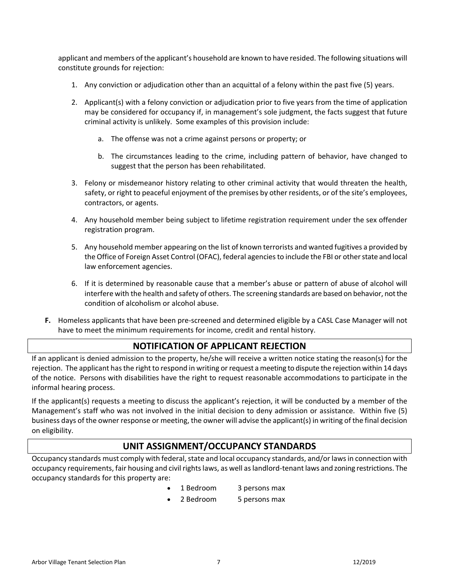applicant and members of the applicant's household are known to have resided. The following situations will constitute grounds for rejection:

- 1. Any conviction or adjudication other than an acquittal of a felony within the past five (5) years.
- 2. Applicant(s) with a felony conviction or adjudication prior to five years from the time of application may be considered for occupancy if, in management's sole judgment, the facts suggest that future criminal activity is unlikely. Some examples of this provision include:
	- a. The offense was not a crime against persons or property; or
	- b. The circumstances leading to the crime, including pattern of behavior, have changed to suggest that the person has been rehabilitated.
- 3. Felony or misdemeanor history relating to other criminal activity that would threaten the health, safety, or right to peaceful enjoyment of the premises by other residents, or of the site's employees, contractors, or agents.
- 4. Any household member being subject to lifetime registration requirement under the sex offender registration program.
- 5. Any household member appearing on the list of known terrorists and wanted fugitives a provided by the Office of Foreign Asset Control (OFAC), federal agencies to include the FBI or other state and local law enforcement agencies.
- 6. If it is determined by reasonable cause that a member's abuse or pattern of abuse of alcohol will interfere with the health and safety of others. The screening standards are based on behavior, not the condition of alcoholism or alcohol abuse.
- **F.** Homeless applicants that have been pre-screened and determined eligible by a CASL Case Manager will not have to meet the minimum requirements for income, credit and rental history.

#### **NOTIFICATION OF APPLICANT REJECTION**

If an applicant is denied admission to the property, he/she will receive a written notice stating the reason(s) for the rejection. The applicant has the right to respond in writing or request a meeting to dispute the rejection within 14 days of the notice. Persons with disabilities have the right to request reasonable accommodations to participate in the informal hearing process.

If the applicant(s) requests a meeting to discuss the applicant's rejection, it will be conducted by a member of the Management's staff who was not involved in the initial decision to deny admission or assistance. Within five (5) business days of the owner response or meeting, the owner will advise the applicant(s) in writing of the final decision on eligibility.

#### **UNIT ASSIGNMENT/OCCUPANCY STANDARDS**

Occupancy standards must comply with federal, state and local occupancy standards, and/or laws in connection with occupancy requirements, fair housing and civil rights laws, as well as landlord-tenant laws and zoning restrictions. The occupancy standards for this property are:

- 1 Bedroom 3 persons max
- 2 Bedroom 5 persons max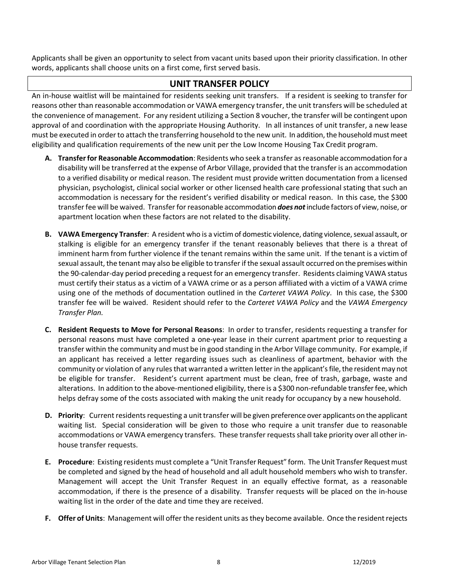Applicants shall be given an opportunity to select from vacant units based upon their priority classification. In other words, applicants shall choose units on a first come, first served basis.

#### **UNIT TRANSFER POLICY**

An in-house waitlist will be maintained for residents seeking unit transfers. If a resident is seeking to transfer for reasons other than reasonable accommodation or VAWA emergency transfer, the unit transfers will be scheduled at the convenience of management. For any resident utilizing a Section 8 voucher, the transfer will be contingent upon approval of and coordination with the appropriate Housing Authority. In all instances of unit transfer, a new lease must be executed in order to attach the transferring household to the new unit. In addition, the household must meet eligibility and qualification requirements of the new unit per the Low Income Housing Tax Credit program.

- **A. Transfer for Reasonable Accommodation**: Residents who seek a transfer as reasonable accommodation for a disability will be transferred at the expense of Arbor Village, provided that the transfer is an accommodation to a verified disability or medical reason. The resident must provide written documentation from a licensed physician, psychologist, clinical social worker or other licensed health care professional stating that such an accommodation is necessary for the resident's verified disability or medical reason. In this case, the \$300 transfer fee will be waived. Transfer for reasonable accommodation *does not*include factors of view, noise, or apartment location when these factors are not related to the disability.
- **B. VAWA Emergency Transfer**: A resident who is a victim of domestic violence, dating violence, sexual assault, or stalking is eligible for an emergency transfer if the tenant reasonably believes that there is a threat of imminent harm from further violence if the tenant remains within the same unit. If the tenant is a victim of sexual assault, the tenant may also be eligible to transfer if the sexual assault occurred on the premises within the 90-calendar-day period preceding a request for an emergency transfer. Residents claiming VAWA status must certify their status as a victim of a VAWA crime or as a person affiliated with a victim of a VAWA crime using one of the methods of documentation outlined in the *Carteret VAWA Policy*. In this case, the \$300 transfer fee will be waived. Resident should refer to the *Carteret VAWA Policy* and the *VAWA Emergency Transfer Plan.*
- **C. Resident Requests to Move for Personal Reasons**: In order to transfer, residents requesting a transfer for personal reasons must have completed a one-year lease in their current apartment prior to requesting a transfer within the community and must be in good standing in the Arbor Village community. For example, if an applicant has received a letter regarding issues such as cleanliness of apartment, behavior with the community or violation of any rules that warranted a written letter in the applicant's file, the resident may not be eligible for transfer. Resident's current apartment must be clean, free of trash, garbage, waste and alterations. In addition to the above-mentioned eligibility, there is a \$300 non-refundable transfer fee, which helps defray some of the costs associated with making the unit ready for occupancy by a new household.
- **D. Priority**: Current residents requesting a unit transfer will be given preference over applicants on the applicant waiting list. Special consideration will be given to those who require a unit transfer due to reasonable accommodations or VAWA emergency transfers. These transfer requests shall take priority over all other inhouse transfer requests.
- **E. Procedure**: Existing residents must complete a "Unit Transfer Request" form. The Unit Transfer Request must be completed and signed by the head of household and all adult household members who wish to transfer. Management will accept the Unit Transfer Request in an equally effective format, as a reasonable accommodation, if there is the presence of a disability. Transfer requests will be placed on the in-house waiting list in the order of the date and time they are received.
- **F. Offer of Units**: Management will offer the resident units as they become available. Once the resident rejects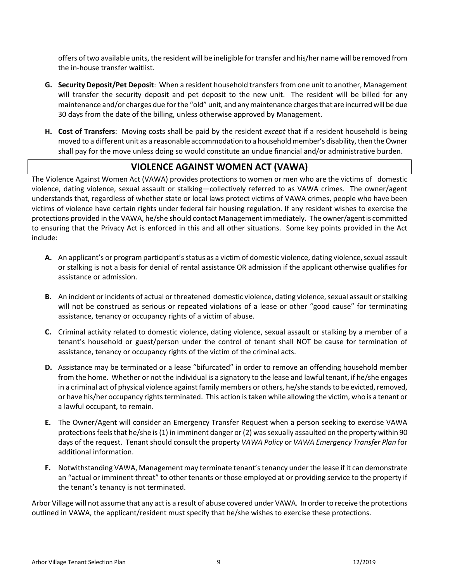offers of two available units, the resident will be ineligible for transfer and his/her name will be removed from the in-house transfer waitlist.

- **G. Security Deposit/Pet Deposit**: When a resident household transfers from one unit to another, Management will transfer the security deposit and pet deposit to the new unit. The resident will be billed for any maintenance and/or charges due for the "old" unit, and any maintenance charges that are incurred will be due 30 days from the date of the billing, unless otherwise approved by Management.
- **H. Cost of Transfers**: Moving costs shall be paid by the resident *except* that if a resident household is being moved to a different unit as a reasonable accommodation to a household member's disability, then the Owner shall pay for the move unless doing so would constitute an undue financial and/or administrative burden.

#### **VIOLENCE AGAINST WOMEN ACT (VAWA)**

The Violence Against Women Act (VAWA) provides protections to women or men who are the victims of domestic violence, dating violence, sexual assault or stalking—collectively referred to as VAWA crimes. The owner/agent understands that, regardless of whether state or local laws protect victims of VAWA crimes, people who have been victims of violence have certain rights under federal fair housing regulation. If any resident wishes to exercise the protections provided in the VAWA, he/she should contact Management immediately. The owner/agent is committed to ensuring that the Privacy Act is enforced in this and all other situations. Some key points provided in the Act include:

- **A.** An applicant's or program participant's status as a victim of domestic violence, dating violence, sexual assault or stalking is not a basis for denial of rental assistance OR admission if the applicant otherwise qualifies for assistance or admission.
- **B.** An incident or incidents of actual or threatened domestic violence, dating violence, sexual assault or stalking will not be construed as serious or repeated violations of a lease or other "good cause" for terminating assistance, tenancy or occupancy rights of a victim of abuse.
- **C.** Criminal activity related to domestic violence, dating violence, sexual assault or stalking by a member of a tenant's household or guest/person under the control of tenant shall NOT be cause for termination of assistance, tenancy or occupancy rights of the victim of the criminal acts.
- **D.** Assistance may be terminated or a lease "bifurcated" in order to remove an offending household member from the home. Whether or not the individual is a signatory to the lease and lawful tenant, if he/she engages in a criminal act of physical violence against family members or others, he/she stands to be evicted, removed, or have his/her occupancy rights terminated. This action is taken while allowing the victim, who is a tenant or a lawful occupant, to remain.
- **E.** The Owner/Agent will consider an Emergency Transfer Request when a person seeking to exercise VAWA protections feels that he/she is (1) in imminent danger or (2) was sexually assaulted on the property within 90 days of the request. Tenant should consult the property *VAWA Policy* or *VAWA Emergency Transfer Plan* for additional information.
- **F.** Notwithstanding VAWA, Management may terminate tenant's tenancy under the lease if it can demonstrate an "actual or imminent threat" to other tenants or those employed at or providing service to the property if the tenant's tenancy is not terminated.

Arbor Village will not assume that any act is a result of abuse covered under VAWA. In order to receive the protections outlined in VAWA, the applicant/resident must specify that he/she wishes to exercise these protections.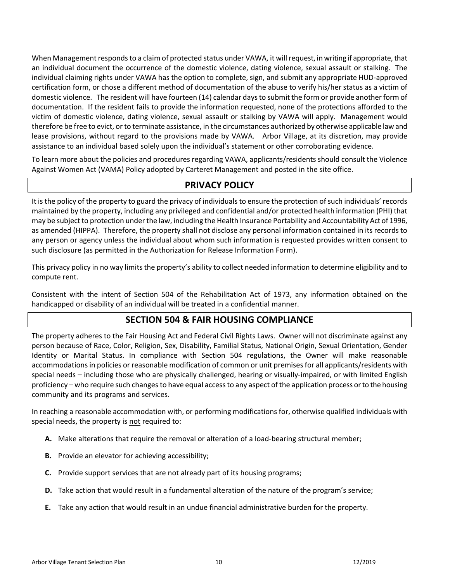When Management responds to a claim of protected status under VAWA, it will request, in writing if appropriate, that an individual document the occurrence of the domestic violence, dating violence, sexual assault or stalking. The individual claiming rights under VAWA has the option to complete, sign, and submit any appropriate HUD-approved certification form, or chose a different method of documentation of the abuse to verify his/her status as a victim of domestic violence. The resident will have fourteen (14) calendar days to submit the form or provide another form of documentation. If the resident fails to provide the information requested, none of the protections afforded to the victim of domestic violence, dating violence, sexual assault or stalking by VAWA will apply. Management would therefore be free to evict, or to terminate assistance, in the circumstances authorized by otherwise applicable law and lease provisions, without regard to the provisions made by VAWA. Arbor Village, at its discretion, may provide assistance to an individual based solely upon the individual's statement or other corroborating evidence.

To learn more about the policies and procedures regarding VAWA, applicants/residents should consult the Violence Against Women Act (VAMA) Policy adopted by Carteret Management and posted in the site office.

#### **PRIVACY POLICY**

It is the policy of the property to guard the privacy of individuals to ensure the protection of such individuals' records maintained by the property, including any privileged and confidential and/or protected health information (PHI) that may be subject to protection under the law, including the Health Insurance Portability and Accountability Act of 1996, as amended (HIPPA). Therefore, the property shall not disclose any personal information contained in its records to any person or agency unless the individual about whom such information is requested provides written consent to such disclosure (as permitted in the Authorization for Release Information Form).

This privacy policy in no way limits the property's ability to collect needed information to determine eligibility and to compute rent.

Consistent with the intent of Section 504 of the Rehabilitation Act of 1973, any information obtained on the handicapped or disability of an individual will be treated in a confidential manner.

#### **SECTION 504 & FAIR HOUSING COMPLIANCE**

The property adheres to the Fair Housing Act and Federal Civil Rights Laws. Owner will not discriminate against any person because of Race, Color, Religion, Sex, Disability, Familial Status, National Origin, Sexual Orientation, Gender Identity or Marital Status. In compliance with Section 504 regulations, the Owner will make reasonable accommodations in policies or reasonable modification of common or unit premises for all applicants/residents with special needs – including those who are physically challenged, hearing or visually-impaired, or with limited English proficiency – who require such changes to have equal access to any aspect of the application process or to the housing community and its programs and services.

In reaching a reasonable accommodation with, or performing modifications for, otherwise qualified individuals with special needs, the property is not required to:

- **A.** Make alterations that require the removal or alteration of a load-bearing structural member;
- **B.** Provide an elevator for achieving accessibility;
- **C.** Provide support services that are not already part of its housing programs;
- **D.** Take action that would result in a fundamental alteration of the nature of the program's service;
- **E.** Take any action that would result in an undue financial administrative burden for the property.